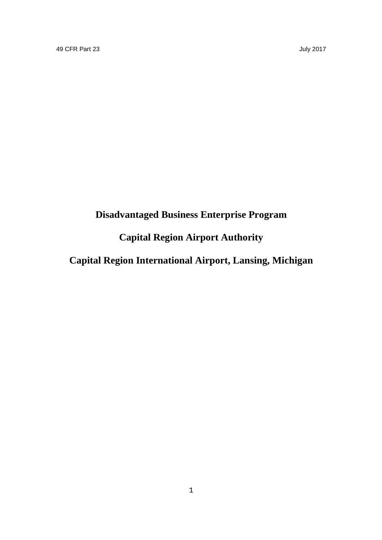# **Disadvantaged Business Enterprise Program**

## **Capital Region Airport Authority**

**Capital Region International Airport, Lansing, Michigan**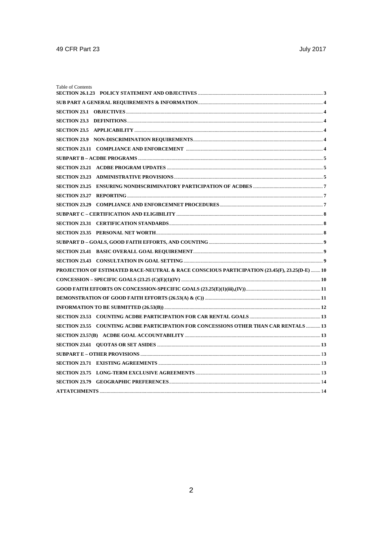| Table of Contents                                                                            |  |
|----------------------------------------------------------------------------------------------|--|
|                                                                                              |  |
|                                                                                              |  |
|                                                                                              |  |
|                                                                                              |  |
|                                                                                              |  |
|                                                                                              |  |
|                                                                                              |  |
|                                                                                              |  |
|                                                                                              |  |
|                                                                                              |  |
|                                                                                              |  |
|                                                                                              |  |
|                                                                                              |  |
|                                                                                              |  |
| SECTION 23.35 PERSONAL NET WORTH                                                             |  |
|                                                                                              |  |
|                                                                                              |  |
|                                                                                              |  |
| PROJECTION OF ESTIMATED RACE-NEUTRAL & RACE CONSCIOUS PARTICIPATION (23.45(F), 23.25(D-E) 10 |  |
|                                                                                              |  |
|                                                                                              |  |
|                                                                                              |  |
|                                                                                              |  |
|                                                                                              |  |
| SECTION 23.55 COUNTING ACDBE PARTICIPATION FOR CONCESSIONS OTHER THAN CAR RENTALS  13        |  |
|                                                                                              |  |
|                                                                                              |  |
|                                                                                              |  |
|                                                                                              |  |
|                                                                                              |  |
|                                                                                              |  |
|                                                                                              |  |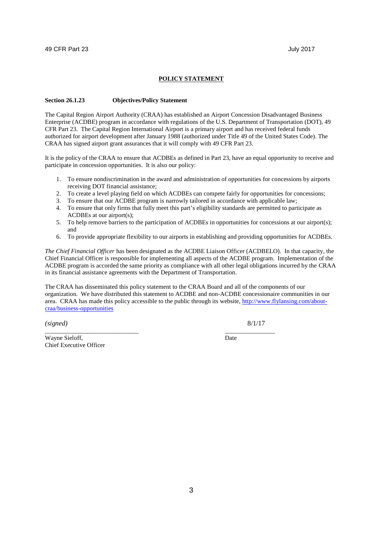#### **POLICY STATEMENT**

#### **Section 26.1.23 Objectives/Policy Statement**

The Capital Region Airport Authority (CRAA) has established an Airport Concession Disadvantaged Business Enterprise (ACDBE) program in accordance with regulations of the U.S. Department of Transportation (DOT), 49 CFR Part 23. The Capital Region International Airport is a primary airport and has received federal funds authorized for airport development after January 1988 (authorized under Title 49 of the United States Code). The CRAA has signed airport grant assurances that it will comply with 49 CFR Part 23.

It is the policy of the CRAA to ensure that ACDBEs as defined in Part 23, have an equal opportunity to receive and participate in concession opportunities. It is also our policy:

- 1. To ensure nondiscrimination in the award and administration of opportunities for concessions by airports receiving DOT financial assistance;
- 2. To create a level playing field on which ACDBEs can compete fairly for opportunities for concessions;
- 3. To ensure that our ACDBE program is narrowly tailored in accordance with applicable law;
- 4. To ensure that only firms that fully meet this part's eligibility standards are permitted to participate as ACDBEs at our airport(s);
- 5. To help remove barriers to the participation of ACDBEs in opportunities for concessions at our airport(s); and
- 6. To provide appropriate flexibility to our airports in establishing and providing opportunities for ACDBEs.

*The Chief Financial Officer* has been designated as the ACDBE Liaison Officer (ACDBELO). In that capacity, the Chief Financial Officer is responsible for implementing all aspects of the ACDBE program. Implementation of the ACDBE program is accorded the same priority as compliance with all other legal obligations incurred by the CRAA in its financial assistance agreements with the Department of Transportation.

The CRAA has disseminated this policy statement to the CRAA Board and all of the components of our organization. We have distributed this statement to ACDBE and non-ACDBE concessionaire communities in our area. CRAA has made this policy accessible to the public through its website, http://www.flylansing.com/aboutcraa/business-opportunities

\_\_\_\_\_\_\_\_\_\_\_\_\_\_\_\_\_\_\_\_\_\_\_\_\_\_\_\_\_\_ \_\_\_\_\_\_\_\_\_\_\_\_\_\_\_\_

*(signed)* 8/1/17

Wayne Sieloff, Date Chief Executive Officer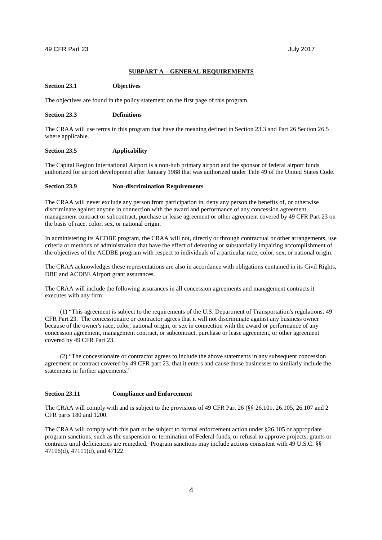#### **SUBPART A – GENERAL REQUIREMENTS**

#### **Section 23.1 Objectives**

The objectives are found in the policy statement on the first page of this program.

#### **Section 23.3 Definitions**

The CRAA will use terms in this program that have the meaning defined in Section 23.3 and Part 26 Section 26.5 where applicable.

#### **Section 23.5 Applicability**

The Capital Region International Airport is a non-hub primary airport and the sponsor of federal airport funds authorized for airport development after January 1988 that was authorized under Title 49 of the United States Code.

#### **Section 23.9 Non-discrimination Requirements**

The CRAA will never exclude any person from participation in, deny any person the benefits of, or otherwise discriminate against anyone in connection with the award and performance of any concession agreement, management contract or subcontract, purchase or lease agreement or other agreement covered by 49 CFR Part 23 on the basis of race, color, sex, or national origin.

In administering its ACDBE program, the CRAA will not, directly or through contractual or other arrangements, use criteria or methods of administration that have the effect of defeating or substantially impairing accomplishment of the objectives of the ACDBE program with respect to individuals of a particular race, color, sex, or national origin.

The CRAA acknowledges these representations are also in accordance with obligations contained in its Civil Rights, DBE and ACDBE Airport grant assurances.

The CRAA will include the following assurances in all concession agreements and management contracts it executes with any firm:

(1) "This agreement is subject to the requirements of the U.S. Department of Transportation's regulations, 49 CFR Part 23. The concessionaire or contractor agrees that it will not discriminate against any business owner because of the owner's race, color, national origin, or sex in connection with the award or performance of any concession agreement, management contract, or subcontract, purchase or lease agreement, or other agreement covered by 49 CFR Part 23.

(2) "The concessionaire or contractor agrees to include the above statements in any subsequent concession agreement or contract covered by 49 CFR part 23, that it enters and cause those businesses to similarly include the statements in further agreements."

#### **Section 23.11 Compliance and Enforcement**

The CRAA will comply with and is subject to the provisions of 49 CFR Part 26 (§§ 26.101, 26.105, 26.107 and 2 CFR parts 180 and 1200.

The CRAA will comply with this part or be subject to formal enforcement action under §26.105 or appropriate program sanctions, such as the suspension or termination of Federal funds, or refusal to approve projects, grants or contracts until deficiencies are remedied. Program sanctions may include actions consistent with 49 U.S.C. §§ 47106(d), 47111(d), and 47122.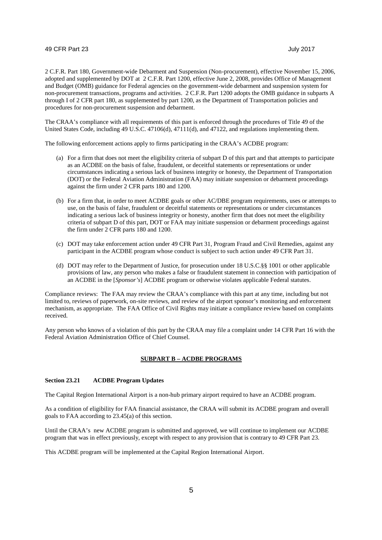2 C.F.R. Part 180, Government-wide Debarment and Suspension (Non-procurement), effective November 15, 2006, adopted and supplemented by DOT at 2 C.F.R. Part 1200, effective June 2, 2008, provides Office of Management and Budget (OMB) guidance for Federal agencies on the government-wide debarment and suspension system for non-procurement transactions, programs and activities. 2 C.F.R. Part 1200 adopts the OMB guidance in subparts A through I of 2 CFR part 180, as supplemented by part 1200, as the Department of Transportation policies and procedures for non-procurement suspension and debarment.

The CRAA's compliance with all requirements of this part is enforced through the procedures of Title 49 of the United States Code, including 49 U.S.C. 47106(d), 47111(d), and 47122, and regulations implementing them.

The following enforcement actions apply to firms participating in the CRAA's ACDBE program:

- (a) For a firm that does not meet the eligibility criteria of subpart D of this part and that attempts to participate as an ACDBE on the basis of false, fraudulent, or deceitful statements or representations or under circumstances indicating a serious lack of business integrity or honesty, the Department of Transportation (DOT) or the Federal Aviation Administration (FAA) may initiate suspension or debarment proceedings against the firm under 2 CFR parts 180 and 1200.
- (b) For a firm that, in order to meet ACDBE goals or other AC/DBE program requirements, uses or attempts to use, on the basis of false, fraudulent or deceitful statements or representations or under circumstances indicating a serious lack of business integrity or honesty, another firm that does not meet the eligibility criteria of subpart D of this part, DOT or FAA may initiate suspension or debarment proceedings against the firm under 2 CFR parts 180 and 1200.
- (c) DOT may take enforcement action under 49 CFR Part 31, Program Fraud and Civil Remedies, against any participant in the ACDBE program whose conduct is subject to such action under 49 CFR Part 31.
- (d) DOT may refer to the Department of Justice, for prosecution under 18 U.S.C.§§ 1001 or other applicable provisions of law, any person who makes a false or fraudulent statement in connection with participation of an ACDBE in the [*Sponsor's*] ACDBE program or otherwise violates applicable Federal statutes.

Compliance reviews: The FAA may review the CRAA's compliance with this part at any time, including but not limited to, reviews of paperwork, on-site reviews, and review of the airport sponsor's monitoring and enforcement mechanism, as appropriate. The FAA Office of Civil Rights may initiate a compliance review based on complaints received.

Any person who knows of a violation of this part by the CRAA may file a complaint under 14 CFR Part 16 with the Federal Aviation Administration Office of Chief Counsel.

#### **SUBPART B – ACDBE PROGRAMS**

#### **Section 23.21 ACDBE Program Updates**

The Capital Region International Airport is a non-hub primary airport required to have an ACDBE program.

As a condition of eligibility for FAA financial assistance, the CRAA will submit its ACDBE program and overall goals to FAA according to 23.45(a) of this section.

Until the CRAA's new ACDBE program is submitted and approved, we will continue to implement our ACDBE program that was in effect previously, except with respect to any provision that is contrary to 49 CFR Part 23.

This ACDBE program will be implemented at the Capital Region International Airport.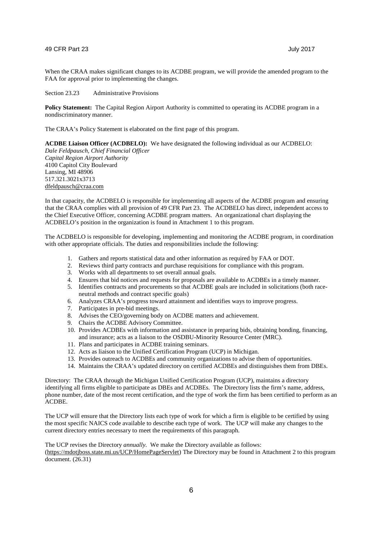When the CRAA makes significant changes to its ACDBE program, we will provide the amended program to the FAA for approval prior to implementing the changes.

Section 23.23 Administrative Provisions

**Policy Statement:** The Capital Region Airport Authority is committed to operating its ACDBE program in a nondiscriminatory manner.

The CRAA's Policy Statement is elaborated on the first page of this program.

**ACDBE Liaison Officer (ACDBELO):** We have designated the following individual as our ACDBELO:

*Dale Feldpausch, Chief Financial Officer Capital Region Airport Authority* 4100 Capitol City Boulevard Lansing, MI 48906 517.321.3021x3713 dfeldpausch@craa.com

In that capacity, the ACDBELO is responsible for implementing all aspects of the ACDBE program and ensuring that the CRAA complies with all provision of 49 CFR Part 23. The ACDBELO has direct, independent access to the Chief Executive Officer, concerning ACDBE program matters. An organizational chart displaying the ACDBELO's position in the organization is found in Attachment 1 to this program.

The ACDBELO is responsible for developing, implementing and monitoring the ACDBE program, in coordination with other appropriate officials. The duties and responsibilities include the following:

- 1. Gathers and reports statistical data and other information as required by FAA or DOT.
- 2. Reviews third party contracts and purchase requisitions for compliance with this program.
- 3. Works with all departments to set overall annual goals.
- 4. Ensures that bid notices and requests for proposals are available to ACDBEs in a timely manner.
- 5. Identifies contracts and procurements so that ACDBE goals are included in solicitations (both raceneutral methods and contract specific goals)
- 6. Analyzes CRAA's progress toward attainment and identifies ways to improve progress.
- 7. Participates in pre-bid meetings.
- 8. Advises the CEO/governing body on ACDBE matters and achievement.
- 9. Chairs the ACDBE Advisory Committee.
- 10. Provides ACDBEs with information and assistance in preparing bids, obtaining bonding, financing, and insurance; acts as a liaison to the OSDBU-Minority Resource Center (MRC).
- 11. Plans and participates in ACDBE training seminars.
- 12. Acts as liaison to the Unified Certification Program (UCP) in Michigan.
- 13. Provides outreach to ACDBEs and community organizations to advise them of opportunities.
- 14. Maintains the CRAA's updated directory on certified ACDBEs and distinguishes them from DBEs.

Directory: The CRAA through the Michigan Unified Certification Program (UCP), maintains a directory identifying all firms eligible to participate as DBEs and ACDBEs. The Directory lists the firm's name, address, phone number, date of the most recent certification, and the type of work the firm has been certified to perform as an ACDBE.

The UCP will ensure that the Directory lists each type of work for which a firm is eligible to be certified by using the most specific NAICS code available to describe each type of work. The UCP will make any changes to the current directory entries necessary to meet the requirements of this paragraph.

The UCP revises the Directory *annually.* We make the Directory available as follows: (https://mdotjboss.state.mi.us/UCP/HomePageServlet) The Directory may be found in Attachment 2 to this program document. (26.31)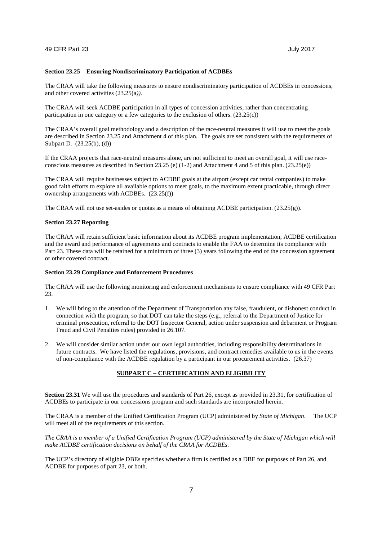#### **Section 23.25 Ensuring Nondiscriminatory Participation of ACDBEs**

The CRAA will take the following measures to ensure nondiscriminatory participation of ACDBEs in concessions, and other covered activities (23.25(a*)).*

The CRAA will seek ACDBE participation in all types of concession activities, rather than concentrating participation in one category or a few categories to the exclusion of others. (23.25(c))

The CRAA's overall goal methodology and a description of the race-neutral measures it will use to meet the goals are described in Section 23.25 and Attachment 4 of this plan. The goals are set consistent with the requirements of Subpart D. (23.25(b), (d))

If the CRAA projects that race-neutral measures alone, are not sufficient to meet an overall goal, it will use raceconscious measures as described in Section 23.25 (e) (1-2) and Attachment 4 and 5 of this plan. (23.25(e))

The CRAA will require businesses subject to ACDBE goals at the airport (except car rental companies) to make good faith efforts to explore all available options to meet goals, to the maximum extent practicable, through direct ownership arrangements with ACDBEs. (23.25(f))

The CRAA will not use set-asides or quotas as a means of obtaining ACDBE participation.  $(23.25(g))$ .

#### **Section 23.27 Reporting**

The CRAA will retain sufficient basic information about its ACDBE program implementation, ACDBE certification and the award and performance of agreements and contracts to enable the FAA to determine its compliance with Part 23. These data will be retained for a minimum of three (3) years following the end of the concession agreement or other covered contract.

#### **Section 23.29 Compliance and Enforcement Procedures**

The CRAA will use the following monitoring and enforcement mechanisms to ensure compliance with 49 CFR Part 23.

- 1. We will bring to the attention of the Department of Transportation any false, fraudulent, or dishonest conduct in connection with the program, so that DOT can take the steps (e.g., referral to the Department of Justice for criminal prosecution, referral to the DOT Inspector General, action under suspension and debarment or Program Fraud and Civil Penalties rules) provided in 26.107.
- 2. We will consider similar action under our own legal authorities, including responsibility determinations in future contracts. We have listed the regulations, provisions, and contract remedies available to us in the events of non-compliance with the ACDBE regulation by a participant in our procurement activities. (26.37)

## **SUBPART C – CERTIFICATION AND ELIGIBILITY**

**Section 23.31** We will use the procedures and standards of Part 26, except as provided in 23.31, for certification of ACDBEs to participate in our concessions program and such standards are incorporated herein.

The CRAA is a member of the Unified Certification Program (UCP) administered by *State of Michigan*. The UCP will meet all of the requirements of this section.

*The CRAA is a member of a Unified Certification Program (UCP) administered by the State of Michigan which will make ACDBE certification decisions on behalf of the CRAA for ACDBEs.*

The UCP's directory of eligible DBEs specifies whether a firm is certified as a DBE for purposes of Part 26, and ACDBE for purposes of part 23, or both.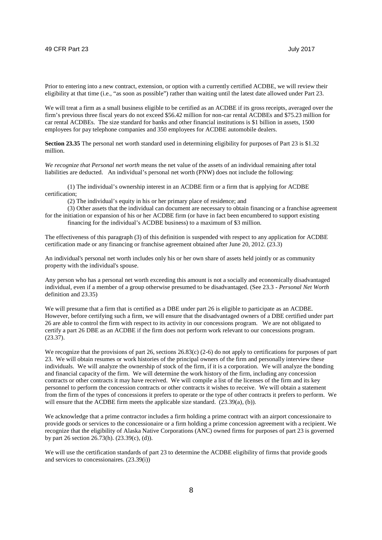Prior to entering into a new contract, extension, or option with a currently certified ACDBE, we will review their eligibility at that time (i.e., "as soon as possible") rather than waiting until the latest date allowed under Part 23.

We will treat a firm as a small business eligible to be certified as an ACDBE if its gross receipts, averaged over the firm's previous three fiscal years do not exceed \$56.42 million for non-car rental ACDBEs and \$75.23 million for car rental ACDBEs. The size standard for banks and other financial institutions is \$1 billion in assets, 1500 employees for pay telephone companies and 350 employees for ACDBE automobile dealers.

**Section 23.35** The personal net worth standard used in determining eligibility for purposes of Part 23 is \$1.32 million.

*We recognize that Personal net worth* means the net value of the assets of an individual remaining after total liabilities are deducted. An individual's personal net worth (PNW) does not include the following:

(1) The individual's ownership interest in an ACDBE firm or a firm that is applying for ACDBE certification;

(2) The individual's equity in his or her primary place of residence; and

(3) Other assets that the individual can document are necessary to obtain financing or a franchise agreement for the initiation or expansion of his or her ACDBE firm (or have in fact been encumbered to support existing

financing for the individual's ACDBE business) to a maximum of \$3 million.

The effectiveness of this paragraph (3) of this definition is suspended with respect to any application for ACDBE certification made or any financing or franchise agreement obtained after June 20, 2012. (23.3)

An individual's personal net worth includes only his or her own share of assets held jointly or as community property with the individual's spouse.

Any person who has a personal net worth exceeding this amount is not a socially and economically disadvantaged individual, even if a member of a group otherwise presumed to be disadvantaged. (See 23.3 - *Personal Net Worth* definition and 23.35)

We will presume that a firm that is certified as a DBE under part 26 is eligible to participate as an ACDBE. However, before certifying such a firm, we will ensure that the disadvantaged owners of a DBE certified under part 26 are able to control the firm with respect to its activity in our concessions program. We are not obligated to certify a part 26 DBE as an ACDBE if the firm does not perform work relevant to our concessions program. (23.37).

We recognize that the provisions of part 26, sections 26.83(c) (2-6) do not apply to certifications for purposes of part 23. We will obtain resumes or work histories of the principal owners of the firm and personally interview these individuals. We will analyze the ownership of stock of the firm, if it is a corporation. We will analyze the bonding and financial capacity of the firm. We will determine the work history of the firm, including any concession contracts or other contracts it may have received. We will compile a list of the licenses of the firm and its key personnel to perform the concession contracts or other contracts it wishes to receive. We will obtain a statement from the firm of the types of concessions it prefers to operate or the type of other contracts it prefers to perform. We will ensure that the ACDBE firm meets the applicable size standard.  $(23.39(a), (b))$ .

We acknowledge that a prime contractor includes a firm holding a prime contract with an airport concessionaire to provide goods or services to the concessionaire or a firm holding a prime concession agreement with a recipient. We recognize that the eligibility of Alaska Native Corporations (ANC) owned firms for purposes of part 23 is governed by part 26 section 26.73(h). (23.39(c), (d)).

We will use the certification standards of part 23 to determine the ACDBE eligibility of firms that provide goods and services to concessionaires. (23.39(i))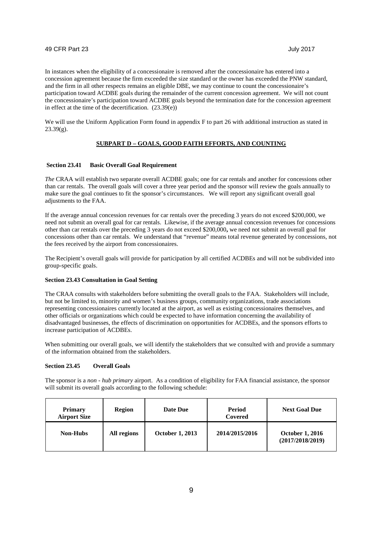In instances when the eligibility of a concessionaire is removed after the concessionaire has entered into a concession agreement because the firm exceeded the size standard or the owner has exceeded the PNW standard, and the firm in all other respects remains an eligible DBE, we may continue to count the concessionaire's participation toward ACDBE goals during the remainder of the current concession agreement. We will not count the concessionaire's participation toward ACDBE goals beyond the termination date for the concession agreement in effect at the time of the decertification. (23.39(e))

We will use the Uniform Application Form found in appendix F to part 26 with additional instruction as stated in  $23.39(g)$ .

## **SUBPART D – GOALS, GOOD FAITH EFFORTS, AND COUNTING**

#### **Section 23.41 Basic Overall Goal Requirement**

*The* CRAA will establish two separate overall ACDBE goals; one for car rentals and another for concessions other than car rentals. The overall goals will cover a three year period and the sponsor will review the goals annually to make sure the goal continues to fit the sponsor's circumstances. We will report any significant overall goal adjustments to the FAA.

If the average annual concession revenues for car rentals over the preceding 3 years do not exceed \$200,000, we need not submit an overall goal for car rentals. Likewise, if the average annual concession revenues for concessions other than car rentals over the preceding 3 years do not exceed \$200,000**,** we need not submit an overall goal for concessions other than car rentals. We understand that "revenue" means total revenue generated by concessions, not the fees received by the airport from concessionaires.

The Recipient's overall goals will provide for participation by all certified ACDBEs and will not be subdivided into group-specific goals.

## **Section 23.43 Consultation in Goal Setting**

The CRAA consults with stakeholders before submitting the overall goals to the FAA. Stakeholders will include, but not be limited to, minority and women's business groups, community organizations, trade associations representing concessionaires currently located at the airport, as well as existing concessionaires themselves, and other officials or organizations which could be expected to have information concerning the availability of disadvantaged businesses, the effects of discrimination on opportunities for ACDBEs, and the sponsors efforts to increase participation of ACDBEs.

When submitting our overall goals, we will identify the stakeholders that we consulted with and provide a summary of the information obtained from the stakeholders.

#### **Section 23.45 Overall Goals**

The sponsor is a *non - hub primary* airport. As a condition of eligibility for FAA financial assistance, the sponsor will submit its overall goals according to the following schedule:

| <b>Primary</b><br><b>Airport Size</b> | <b>Region</b> | Date Due               | Period<br>Covered | <b>Next Goal Due</b>                       |
|---------------------------------------|---------------|------------------------|-------------------|--------------------------------------------|
| <b>Non-Hubs</b>                       | All regions   | <b>October 1, 2013</b> | 2014/2015/2016    | <b>October 1, 2016</b><br>(2017/2018/2019) |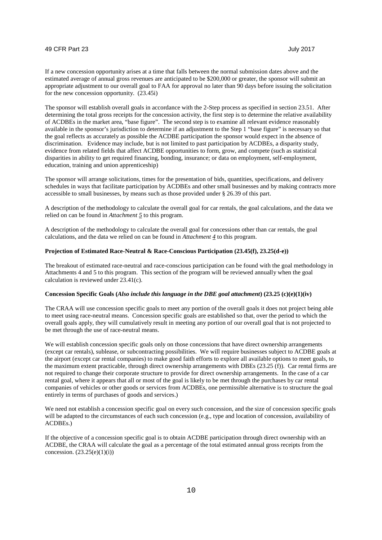If a new concession opportunity arises at a time that falls between the normal submission dates above and the estimated average of annual gross revenues are anticipated to be \$200,000 or greater, the sponsor will submit an appropriate adjustment to our overall goal to FAA for approval no later than 90 days before issuing the solicitation for the new concession opportunity. (23.45i)

The sponsor will establish overall goals in accordance with the 2-Step process as specified in section 23.51. After determining the total gross receipts for the concession activity, the first step is to determine the relative availability of ACDBEs in the market area, "base figure". The second step is to examine all relevant evidence reasonably available in the sponsor's jurisdiction to determine if an adjustment to the Step 1 "base figure" is necessary so that the goal reflects as accurately as possible the ACDBE participation the sponsor would expect in the absence of discrimination. Evidence may include, but is not limited to past participation by ACDBEs, a disparity study, evidence from related fields that affect ACDBE opportunities to form, grow, and compete (such as statistical disparities in ability to get required financing, bonding, insurance; or data on employment, self-employment, education, training and union apprenticeship)

The sponsor will arrange solicitations, times for the presentation of bids, quantities, specifications, and delivery schedules in ways that facilitate participation by ACDBEs and other small businesses and by making contracts more accessible to small businesses, by means such as those provided under § 26.39 of this part.

A description of the methodology to calculate the overall goal for car rentals, the goal calculations, and the data we relied on can be found in *Attachment 5* to this program.

A description of the methodology to calculate the overall goal for concessions other than car rentals, the goal calculations, and the data we relied on can be found in *Attachment 4* to this program.

## **Projection of Estimated Race-Neutral & Race-Conscious Participation (23.45(f), 23.25(d-e))**

The breakout of estimated race-neutral and race-conscious participation can be found with the goal methodology in Attachments 4 and 5 to this program. This section of the program will be reviewed annually when the goal calculation is reviewed under 23.41(c).

#### **Concession Specific Goals (***Also include this language in the DBE goal attachment***) (23.25 (c)(e)(1)(iv)**

The CRAA will use concession specific goals to meet any portion of the overall goals it does not project being able to meet using race-neutral means. Concession specific goals are established so that, over the period to which the overall goals apply, they will cumulatively result in meeting any portion of our overall goal that is not projected to be met through the use of race-neutral means.

We will establish concession specific goals only on those concessions that have direct ownership arrangements (except car rentals), sublease, or subcontracting possibilities*.* We will require businesses subject to ACDBE goals at the airport (except car rental companies) to make good faith efforts to explore all available options to meet goals, to the maximum extent practicable, through direct ownership arrangements with DBEs (23.25 (f)). Car rental firms are not required to change their corporate structure to provide for direct ownership arrangements. In the case of a car rental goal, where it appears that all or most of the goal is likely to be met through the purchases by car rental companies of vehicles or other goods or services from ACDBEs, one permissible alternative is to structure the goal entirely in terms of purchases of goods and services.)

We need not establish a concession specific goal on every such concession, and the size of concession specific goals will be adapted to the circumstances of each such concession (e.g., type and location of concession, availability of ACDBEs.)

If the objective of a concession specific goal is to obtain ACDBE participation through direct ownership with an ACDBE, the CRAA will calculate the goal as a percentage of the total estimated annual gross receipts from the concession. (23.25(e)(1)(i))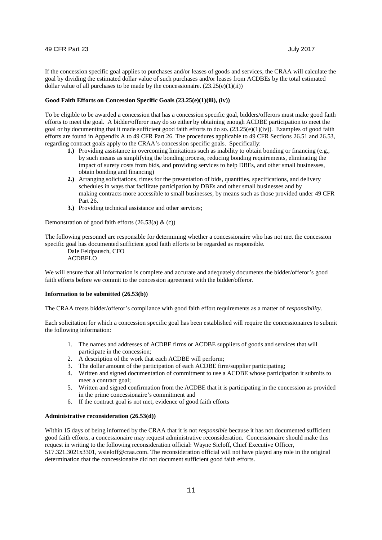If the concession specific goal applies to purchases and/or leases of goods and services, the CRAA will calculate the goal by dividing the estimated dollar value of such purchases and/or leases from ACDBEs by the total estimated dollar value of all purchases to be made by the concessionaire.  $(23.25(e)(1)(ii))$ 

#### **Good Faith Efforts on Concession Specific Goals (23.25(e)(1)(iii), (iv))**

To be eligible to be awarded a concession that has a concession specific goal, bidders/offerors must make good faith efforts to meet the goal. A bidder/offeror may do so either by obtaining enough ACDBE participation to meet the goal or by documenting that it made sufficient good faith efforts to do so.  $(23.25(e)(1)(iv))$ . Examples of good faith efforts are found in Appendix A to 49 CFR Part 26. The procedures applicable to 49 CFR Sections 26.51 and 26.53, regarding contract goals apply to the CRAA's concession specific goals. Specifically:

- **1.)** Providing assistance in overcoming limitations such as inability to obtain bonding or financing (e.g., by such means as simplifying the bonding process, reducing bonding requirements, eliminating the impact of surety costs from bids, and providing services to help DBEs, and other small businesses, obtain bonding and financing)
- **2.)** Arranging solicitations, times for the presentation of bids, quantities, specifications, and delivery schedules in ways that facilitate participation by DBEs and other small businesses and by making contracts more accessible to small businesses, by means such as those provided under 49 CFR Part 26.
- **3.)** Providing technical assistance and other services;

Demonstration of good faith efforts  $(26.53(a) \& c)$ 

The following personnel are responsible for determining whether a concessionaire who has not met the concession specific goal has documented sufficient good faith efforts to be regarded as responsible.

Dale Feldpausch, CFO

#### $ACDBELO$

We will ensure that all information is complete and accurate and adequately documents the bidder/offeror's good faith efforts before we commit to the concession agreement with the bidder/offeror.

#### **Information to be submitted (26.53(b))**

The CRAA treats bidder/offeror's compliance with good faith effort requirements as a matter of *responsibility*.

Each solicitation for which a concession specific goal has been established will require the concessionaires to submit the following information:

- 1. The names and addresses of ACDBE firms or ACDBE suppliers of goods and services that will participate in the concession;
- 2. A description of the work that each ACDBE will perform;
- 3. The dollar amount of the participation of each ACDBE firm/supplier participating;
- 4. Written and signed documentation of commitment to use a ACDBE whose participation it submits to meet a contract goal;
- 5. Written and signed confirmation from the ACDBE that it is participating in the concession as provided in the prime concessionaire's commitment and
- 6. If the contract goal is not met, evidence of good faith efforts

#### **Administrative reconsideration (26.53(d))**

Within 15 days of being informed by the CRAA that it is not *responsible* because it has not documented sufficient good faith efforts, a concessionaire may request administrative reconsideration. Concessionaire should make this request in writing to the following reconsideration official: Wayne Sieloff, Chief Executive Officer, 517.321.3021x3301, wsieloff@craa.com. The reconsideration official will not have played any role in the original determination that the concessionaire did not document sufficient good faith efforts.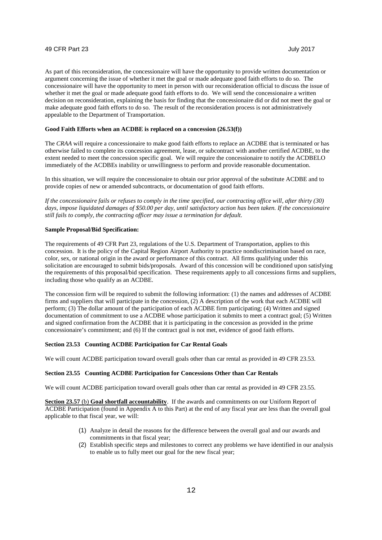As part of this reconsideration, the concessionaire will have the opportunity to provide written documentation or argument concerning the issue of whether it met the goal or made adequate good faith efforts to do so. The concessionaire will have the opportunity to meet in person with our reconsideration official to discuss the issue of whether it met the goal or made adequate good faith efforts to do. We will send the concessionaire a written decision on reconsideration, explaining the basis for finding that the concessionaire did or did not meet the goal or make adequate good faith efforts to do so. The result of the reconsideration process is not administratively appealable to the Department of Transportation.

## **Good Faith Efforts when an ACDBE is replaced on a concession (26.53(f))**

The *CRAA* will require a concessionaire to make good faith efforts to replace an ACDBE that is terminated or has otherwise failed to complete its concession agreement, lease, or subcontract with another certified ACDBE, to the extent needed to meet the concession specific goal. We will require the concessionaire to notify the ACDBELO immediately of the ACDBEs inability or unwillingness to perform and provide reasonable documentation.

In this situation, we will require the concessionaire to obtain our prior approval of the substitute ACDBE and to provide copies of new or amended subcontracts, or documentation of good faith efforts.

*If the concessionaire fails or refuses to comply in the time specified, our contracting office will, after thirty (30) days, impose liquidated damages of \$50.00 per day, until satisfactory action has been taken. If the concessionaire still fails to comply, the contracting officer may issue a termination for default.*

#### **Sample Proposal/Bid Specification:**

The requirements of 49 CFR Part 23, regulations of the U.S. Department of Transportation, applies to this concession. It is the policy of the Capital Region Airport Authority to practice nondiscrimination based on race, color, sex, or national origin in the award or performance of this contract. All firms qualifying under this solicitation are encouraged to submit bids/proposals. Award of this concession will be conditioned upon satisfying the requirements of this proposal/bid specification. These requirements apply to all concessions firms and suppliers, including those who qualify as an ACDBE.

The concession firm will be required to submit the following information: (1) the names and addresses of ACDBE firms and suppliers that will participate in the concession, (2) A description of the work that each ACDBE will perform; (3) The dollar amount of the participation of each ACDBE firm participating; (4) Written and signed documentation of commitment to use a ACDBE whose participation it submits to meet a contract goal; (5) Written and signed confirmation from the ACDBE that it is participating in the concession as provided in the prime concessionaire's commitment; and (6) If the contract goal is not met, evidence of good faith efforts.

#### **Section 23.53 Counting ACDBE Participation for Car Rental Goals**

We will count ACDBE participation toward overall goals other than car rental as provided in 49 CFR 23.53.

#### **Section 23.55 Counting ACDBE Participation for Concessions Other than Car Rentals**

We will count ACDBE participation toward overall goals other than car rental as provided in 49 CFR 23.55.

**Section 23.57** (b) **Goal shortfall accountability**. If the awards and commitments on our Uniform Report of ACDBE Participation (found in Appendix A to this Part) at the end of any fiscal year are less than the overall goal applicable to that fiscal year, we will:

- (1) Analyze in detail the reasons for the difference between the overall goal and our awards and commitments in that fiscal year;
- (2) Establish specific steps and milestones to correct any problems we have identified in our analysis to enable us to fully meet our goal for the new fiscal year;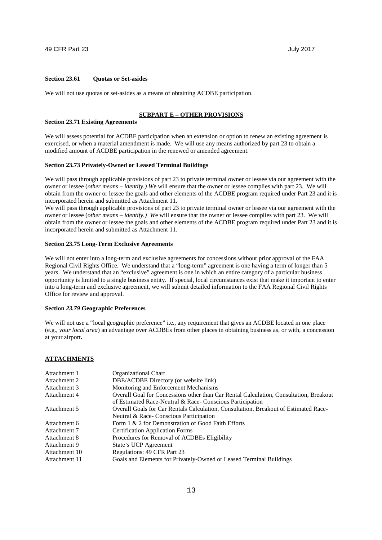#### **Section 23.61 Quotas or Set-asides**

We will not use quotas or set-asides as a means of obtaining ACDBE participation.

#### **SUBPART E – OTHER PROVISIONS**

#### **Section 23.71 Existing Agreements**

We will assess potential for ACDBE participation when an extension or option to renew an existing agreement is exercised, or when a material amendment is made. We will use any means authorized by part 23 to obtain a modified amount of ACDBE participation in the renewed or amended agreement.

#### **Section 23.73 Privately-Owned or Leased Terminal Buildings**

We will pass through applicable provisions of part 23 to private terminal owner or lessee via our agreement with the owner or lessee (*other means – identify.) W*e will ensure that the owner or lessee complies with part 23. We will obtain from the owner or lessee the goals and other elements of the ACDBE program required under Part 23 and it is incorporated herein and submitted as Attachment 11.

We will pass through applicable provisions of part 23 to private terminal owner or lessee via our agreement with the owner or lessee (*other means – identify.) W*e will ensure that the owner or lessee complies with part 23. We will obtain from the owner or lessee the goals and other elements of the ACDBE program required under Part 23 and it is incorporated herein and submitted as Attachment 11.

#### **Section 23.75 Long-Term Exclusive Agreements**

We will not enter into a long-term and exclusive agreements for concessions without prior approval of the FAA Regional Civil Rights Office. We understand that a "long-term" agreement is one having a term of longer than 5 years. We understand that an "exclusive" agreement is one in which an entire category of a particular business opportunity is limited to a single business entity. If special, local circumstances exist that make it important to enter into a long-term and exclusive agreement, we will submit detailed information to the FAA Regional Civil Rights Office for review and approval.

#### **Section** *23.79* **Geographic Preferences**

We will not use a "local geographic preference" i.e., any requirement that gives an ACDBE located in one place (e.g., *your local area*) an advantage over ACDBEs from other places in obtaining business as, or with, a concession at your airport**.**

#### **ATTACHMENTS**

| Attachment 1  | Organizational Chart                                                                   |
|---------------|----------------------------------------------------------------------------------------|
| Attachment 2  | DBE/ACDBE Directory (or website link)                                                  |
| Attachment 3  | Monitoring and Enforcement Mechanisms                                                  |
| Attachment 4  | Overall Goal for Concessions other than Car Rental Calculation, Consultation, Breakout |
|               | of Estimated Race-Neutral & Race-Conscious Participation                               |
| Attachment 5  | Overall Goals for Car Rentals Calculation, Consultation, Breakout of Estimated Race-   |
|               | Neutral & Race-Conscious Participation                                                 |
| Attachment 6  | Form 1 & 2 for Demonstration of Good Faith Efforts                                     |
| Attachment 7  | <b>Certification Application Forms</b>                                                 |
| Attachment 8  | Procedures for Removal of ACDBEs Eligibility                                           |
| Attachment 9  | State's UCP Agreement                                                                  |
| Attachment 10 | Regulations: 49 CFR Part 23                                                            |
| Attachment 11 | Goals and Elements for Privately-Owned or Leased Terminal Buildings                    |
|               |                                                                                        |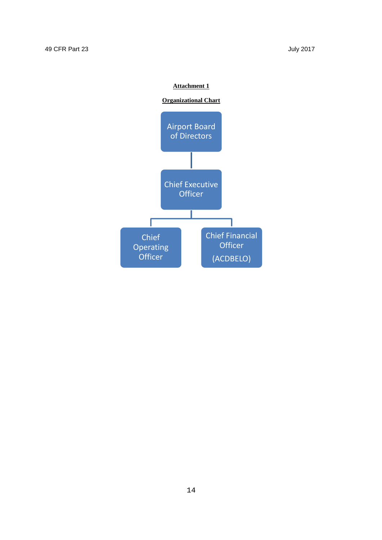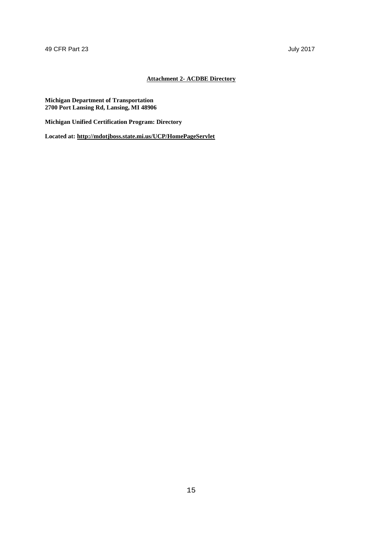## **Attachment 2- ACDBE Directory**

#### **Michigan Department of Transportation 2700 Port Lansing Rd, Lansing, MI 48906**

**Michigan Unified Certification Program: Directory**

**Located at: http://mdotjboss.state.mi.us/UCP/HomePageServlet**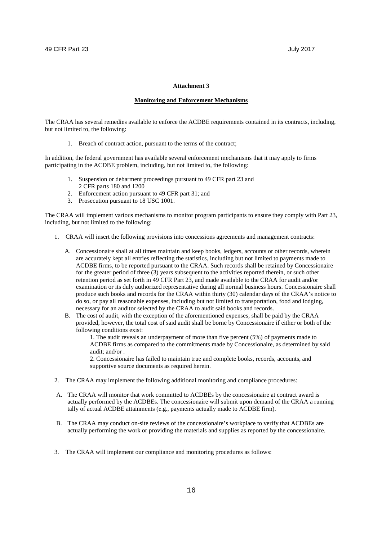#### **Monitoring and Enforcement Mechanisms**

The CRAA has several remedies available to enforce the ACDBE requirements contained in its contracts, including, but not limited to, the following:

1. Breach of contract action, pursuant to the terms of the contract;

In addition, the federal government has available several enforcement mechanisms that it may apply to firms participating in the ACDBE problem, including, but not limited to, the following:

- 1. Suspension or debarment proceedings pursuant to 49 CFR part 23 and 2 CFR parts 180 and 1200
- 2. Enforcement action pursuant to 49 CFR part 31; and
- 3. Prosecution pursuant to 18 USC 1001.

The CRAA will implement various mechanisms to monitor program participants to ensure they comply with Part 23, including, but not limited to the following:

- 1. CRAA will insert the following provisions into concessions agreements and management contracts:
	- A. Concessionaire shall at all times maintain and keep books, ledgers, accounts or other records, wherein are accurately kept all entries reflecting the statistics, including but not limited to payments made to ACDBE firms, to be reported pursuant to the CRAA. Such records shall be retained by Concessionaire for the greater period of three (3) years subsequent to the activities reported therein, or such other retention period as set forth in 49 CFR Part 23, and made available to the CRAA for audit and/or examination or its duly authorized representative during all normal business hours. Concessionaire shall produce such books and records for the CRAA within thirty (30) calendar days of the CRAA's notice to do so, or pay all reasonable expenses, including but not limited to transportation, food and lodging, necessary for an auditor selected by the CRAA to audit said books and records.
	- B. The cost of audit, with the exception of the aforementioned expenses, shall be paid by the CRAA provided, however, the total cost of said audit shall be borne by Concessionaire if either or both of the following conditions exist:

1. The audit reveals an underpayment of more than five percent (5%) of payments made to ACDBE firms as compared to the commitments made by Concessionaire, as determined by said audit; and/or .

2. Concessionaire has failed to maintain true and complete books, records, accounts, and supportive source documents as required herein.

- 2. The CRAA may implement the following additional monitoring and compliance procedures:
- A. The CRAA will monitor that work committed to ACDBEs by the concessionaire at contract award is actually performed by the ACDBEs. The concessionaire will submit upon demand of the CRAA a running tally of actual ACDBE attainments (e.g., payments actually made to ACDBE firm).
- B. The CRAA may conduct on-site reviews of the concessionaire's workplace to verify that ACDBEs are actually performing the work or providing the materials and supplies as reported by the concessionaire.
- 3. The CRAA will implement our compliance and monitoring procedures as follows: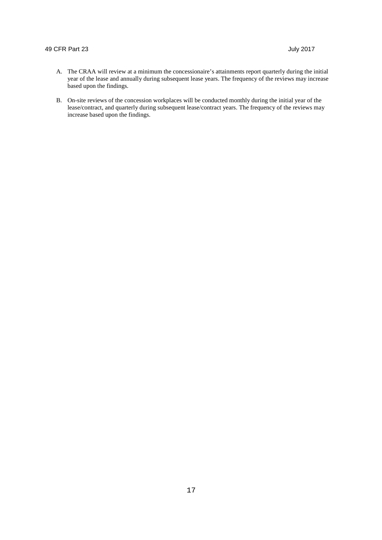- A. The CRAA will review at a minimum the concessionaire's attainments report quarterly during the initial year of the lease and annually during subsequent lease years. The frequency of the reviews may increase based upon the findings*.*
- B. On-site reviews of the concession workplaces will be conducted monthly during the initial year of the lease/contract, and quarterly during subsequent lease/contract years. The frequency of the reviews may increase based upon the findings.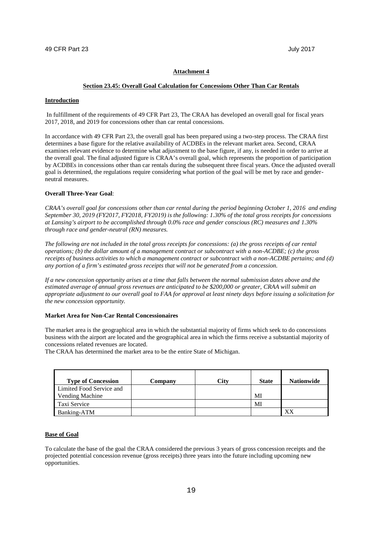#### **Section 23.45: Overall Goal Calculation for Concessions Other Than Car Rentals**

#### **Introduction**

In fulfillment of the requirements of 49 CFR Part 23, The CRAA has developed an overall goal for fiscal years 2017, 2018, and 2019 for concessions other than car rental concessions.

In accordance with 49 CFR Part 23, the overall goal has been prepared using a two-step process. The CRAA first determines a base figure for the relative availability of ACDBEs in the relevant market area. Second, CRAA examines relevant evidence to determine what adjustment to the base figure, if any, is needed in order to arrive at the overall goal. The final adjusted figure is CRAA's overall goal, which represents the proportion of participation by ACDBEs in concessions other than car rentals during the subsequent three fiscal years. Once the adjusted overall goal is determined, the regulations require considering what portion of the goal will be met by race and genderneutral measures.

#### **Overall Three-Year Goal**:

*CRAA's overall goal for concessions other than car rental during the period beginning October 1, 2016 and ending September 30, 2019 (FY2017, FY2018, FY2019) is the following: 1.30% of the total gross receipts for concessions at Lansing's airport to be accomplished through 0.0% race and gender conscious (RC) measures and 1.30% through race and gender-neutral (RN) measures.*

*The following are not included in the total gross receipts for concessions: (a) the gross receipts of car rental operations; (b) the dollar amount of a management contract or subcontract with a non-ACDBE; (c) the gross receipts of business activities to which a management contract or subcontract with a non-ACDBE pertains; and (d) any portion of a firm's estimated gross receipts that will not be generated from a concession.*

*If a new concession opportunity arises at a time that falls between the normal submission dates above and the estimated average of annual gross revenues are anticipated to be \$200,000 or greater, CRAA will submit an appropriate adjustment to our overall goal to FAA for approval at least ninety days before issuing a solicitation for the new concession opportunity.*

## **Market Area for Non-Car Rental Concessionaires**

The market area is the geographical area in which the substantial majority of firms which seek to do concessions business with the airport are located and the geographical area in which the firms receive a substantial majority of concessions related revenues are located.

The CRAA has determined the market area to be the entire State of Michigan.

| <b>Type of Concession</b> | Company | City | <b>State</b> | <b>Nationwide</b> |
|---------------------------|---------|------|--------------|-------------------|
| Limited Food Service and  |         |      |              |                   |
| Vending Machine           |         |      | MI           |                   |
| Taxi Service              |         |      | MI           |                   |
| Banking-ATM               |         |      |              | XX                |

#### **Base of Goal**

To calculate the base of the goal the CRAA considered the previous 3 years of gross concession receipts and the projected potential concession revenue (gross receipts) three years into the future including upcoming new opportunities.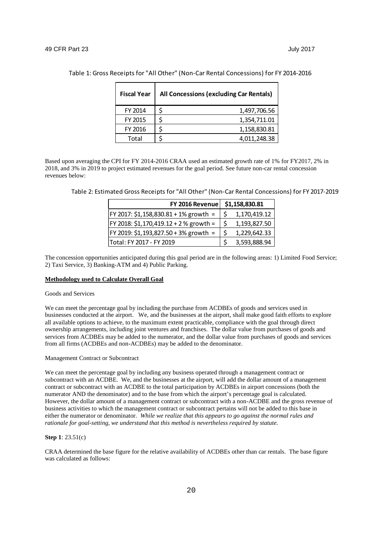| <b>Fiscal Year</b> | All Concessions (excluding Car Rentals) |
|--------------------|-----------------------------------------|
| FY 2014            | Ś<br>1,497,706.56                       |
| FY 2015            | 1,354,711.01                            |
| FY 2016            | 1,158,830.81                            |
| Total              | 4.011.248.38                            |

Table 1: Gross Receipts for "All Other" (Non-Car Rental Concessions) for FY 2014-2016

Based upon averaging the CPI for FY 2014-2016 CRAA used an estimated growth rate of 1% for FY2017, 2% in 2018, and 3% in 2019 to project estimated revenues for the goal period. See future non-car rental concession revenues below:

Table 2: Estimated Gross Receipts for "All Other" (Non-Car Rental Concessions) for FY 2017-2019

| FY 2016 Revenue   \$1,158,830.81           |              |
|--------------------------------------------|--------------|
| FY 2017: \$1,158,830.81 + 1% growth =      | 1,170,419.12 |
| $ $ FY 2018: \$1,170,419.12 + 2 % growth = | 1,193,827.50 |
| FY 2019: \$1,193,827.50 + 3% growth =      | 1,229,642.33 |
| Total: FY 2017 - FY 2019                   | 3,593,888.94 |

The concession opportunities anticipated during this goal period are in the following areas: 1) Limited Food Service; 2) Taxi Service, 3) Banking-ATM and 4) Public Parking.

#### **Methodology used to Calculate Overall Goal**

 $\mathsf{r}$ 

#### Goods and Services

We can meet the percentage goal by including the purchase from ACDBEs of goods and services used in businesses conducted at the airport. We, and the businesses at the airport, shall make good faith efforts to explore all available options to achieve, to the maximum extent practicable, compliance with the goal through direct ownership arrangements, including joint ventures and franchises. The dollar value from purchases of goods and services from ACDBEs may be added to the numerator, and the dollar value from purchases of goods and services from all firms (ACDBEs and non-ACDBEs) may be added to the denominator.

#### Management Contract or Subcontract

We can meet the percentage goal by including any business operated through a management contract or subcontract with an ACDBE. We, and the businesses at the airport, will add the dollar amount of a management contract or subcontract with an ACDBE to the total participation by ACDBEs in airport concessions (both the numerator AND the denominator) and to the base from which the airport's percentage goal is calculated. However, the dollar amount of a management contract or subcontract with a non-ACDBE and the gross revenue of business activities to which the management contract or subcontract pertains will not be added to this base in either the numerator or denominator. *While we realize that this appears to go against the normal rules and rationale for goal-setting, we understand that this method is nevertheless required by statute.*

#### **Step 1**: 23.51(c)

CRAA determined the base figure for the relative availability of ACDBEs other than car rentals. The base figure was calculated as follows: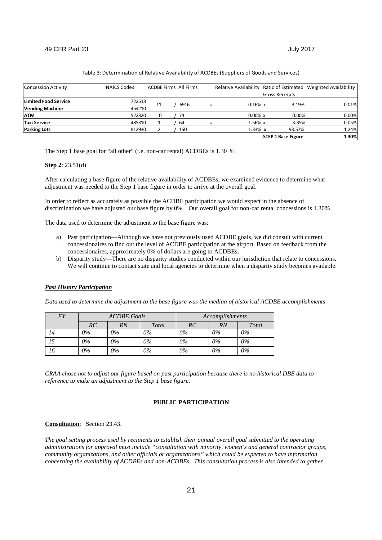| <b>Concession Activity</b>  | <b>NAICS Codes</b> |    | <b>ACDBE Firms All Firms</b> | Relative Availability |                           | Ratio of Estimated Weighted Availability |
|-----------------------------|--------------------|----|------------------------------|-----------------------|---------------------------|------------------------------------------|
|                             |                    |    |                              |                       | <b>Gross Receipts</b>     |                                          |
| <b>Limited Food Service</b> | 722513             | 11 | 6916                         | $0.16\% \times$       | 3.19%                     | 0.01%                                    |
| <b>Vending Machine</b>      | 454210             |    |                              |                       |                           |                                          |
| <b>ATM</b>                  | 522320             |    | 74                           | $0.00\%$ x            | 0.00%                     | 0.00%                                    |
| Taxi Service                | 485310             |    | 64                           | 1.56% x               | 3.35%                     | 0.05%                                    |
| <b>Parking Lots</b>         | 812930             |    | 150                          | $1.33\% \times$       | 93.57%                    | 1.24%                                    |
|                             |                    |    |                              |                       | <b>STEP 1 Base Figure</b> | 1.30%                                    |

#### Table 3: Determination of Relative Availability of ACDBEs (Suppliers of Goods and Services)

The Step 1 base goal for "all other" (i.e. non-car rental) ACDBEs is 1.30 %

#### **Step 2**: 23.51(d)

After calculating a base figure of the relative availability of ACDBEs, we examined evidence to determine what adjustment was needed to the Step 1 base figure in order to arrive at the overall goal.

In order to reflect as accurately as possible the ACDBE participation we would expect in the absence of discrimination we have adjusted our base figure by 0%. Our overall goal for non-car rental concessions is 1.30%

The data used to determine the adjustment to the base figure was:

- a) Past participation—Although we have not previously used ACDBE goals, we did consult with current concessionaires to find out the level of ACDBE participation at the airport. Based on feedback from the concessionaires, approximately 0% of dollars are going to ACDBEs.
- b) Disparity study—There are no disparity studies conducted within our jurisdiction that relate to concessions. We will continue to contact state and local agencies to determine when a disparity study becomes available.

#### *Past History Participation*

*Data used to determine the adjustment to the base figure was the median of historical ACDBE accomplishments*

| FY | <b>ACDBE</b> Goals |       |       |       |       |       |  | Accomplishments |  |
|----|--------------------|-------|-------|-------|-------|-------|--|-----------------|--|
|    | RC                 | RN    | Total | RC    | RN    | Total |  |                 |  |
| 14 | $0\%$              | $0\%$ | $0\%$ | $0\%$ | $0\%$ | $0\%$ |  |                 |  |
|    | $0\%$              | 0%    | 0%    | $0\%$ | $0\%$ | $0\%$ |  |                 |  |
| 16 | 0%                 | $0\%$ | 0%    | $0\%$ | $0\%$ | $0\%$ |  |                 |  |

*CRAA chose not to adjust our figure based on past participation because there is no historical DBE data to reference to make an adjustment to the Step 1 base figure.*

#### **PUBLIC PARTICIPATION**

## **Consultation**: Section 23.43.

*The goal setting process used by recipients to establish their annual overall goal submitted to the operating administrations for approval must include "consultation with minority, women's and general contractor groups, community organizations, and other officials or organizations" which could be expected to have information concerning the availability of ACDBEs and non-ACDBEs. This consultation process is also intended to gather*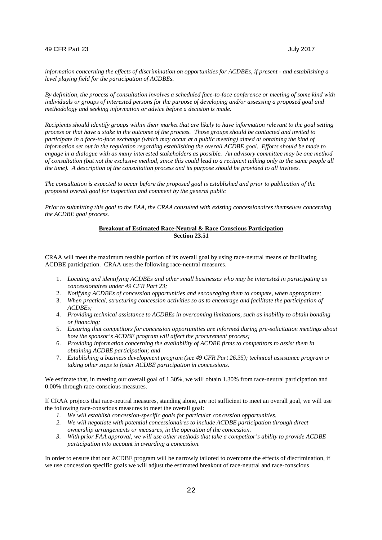*information concerning the effects of discrimination on opportunities for ACDBEs, if present - and establishing a level playing field for the participation of ACDBEs.*

*By definition, the process of consultation involves a scheduled face-to-face conference or meeting of some kind with individuals or groups of interested persons for the purpose of developing and/or assessing a proposed goal and methodology and seeking information or advice before a decision is made.*

*Recipients should identify groups within their market that are likely to have information relevant to the goal setting process or that have a stake in the outcome of the process. Those groups should be contacted and invited to participate in a face-to-face exchange (which may occur at a public meeting) aimed at obtaining the kind of information set out in the regulation regarding establishing the overall ACDBE goal. Efforts should be made to engage in a dialogue with as many interested stakeholders as possible. An advisory committee may be one method of consultation (but not the exclusive method, since this could lead to a recipient talking only to the same people all the time). A description of the consultation process and its purpose should be provided to all invitees.*

*The consultation is expected to occur before the proposed goal is established and prior to publication of the proposed overall goal for inspection and comment by the general public*

*Prior to submitting this goal to the FAA, the CRAA consulted with existing concessionaires themselves concerning the ACDBE goal process.*

## **Breakout of Estimated Race-Neutral & Race Conscious Participation Section 23.51**

CRAA will meet the maximum feasible portion of its overall goal by using race-neutral means of facilitating ACDBE participation. CRAA uses the following race-neutral measures.

- 1. *Locating and identifying ACDBEs and other small businesses who may be interested in participating as concessionaires under 49 CFR Part 23;*
- 2. *Notifying ACDBEs of concession opportunities and encouraging them to compete, when appropriate;*
- 3. *When practical, structuring concession activities so as to encourage and facilitate the participation of ACDBEs;*
- 4. *Providing technical assistance to ACDBEs in overcoming limitations, such as inability to obtain bonding or financing;*
- 5. *Ensuring that competitors for concession opportunities are informed during pre-solicitation meetings about how the sponsor's ACDBE program will affect the procurement process;*
- 6. *Providing information concerning the availability of ACDBE firms to competitors to assist them in obtaining ACDBE participation; and*
- 7. *Establishing a business development program (see 49 CFR Part 26.35); technical assistance program or taking other steps to foster ACDBE participation in concessions.*

We estimate that, in meeting our overall goal of 1.30%, we will obtain 1.30% from race-neutral participation and 0.00% through race-conscious measures.

If CRAA projects that race-neutral measures, standing alone, are not sufficient to meet an overall goal, we will use the following race-conscious measures to meet the overall goal:

- *1. We will establish concession-specific goals for particular concession opportunities.*
- *2. We will negotiate with potential concessionaires to include ACDBE participation through direct ownership arrangements or measures, in the operation of the concession.*
- *3. With prior FAA approval, we will use other methods that take a competitor's ability to provide ACDBE participation into account in awarding a concession.*

In order to ensure that our ACDBE program will be narrowly tailored to overcome the effects of discrimination, if we use concession specific goals we will adjust the estimated breakout of race-neutral and race-conscious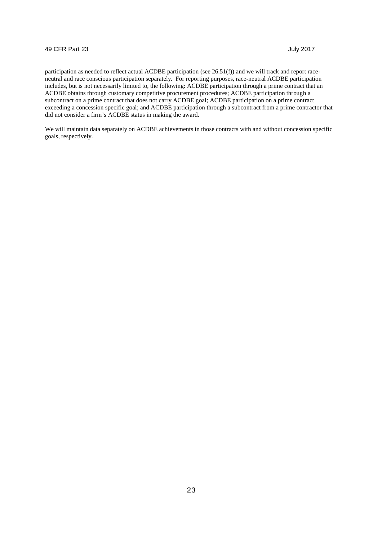participation as needed to reflect actual ACDBE participation (see 26.51(f)) and we will track and report raceneutral and race conscious participation separately. For reporting purposes, race-neutral ACDBE participation includes, but is not necessarily limited to, the following: ACDBE participation through a prime contract that an ACDBE obtains through customary competitive procurement procedures; ACDBE participation through a subcontract on a prime contract that does not carry ACDBE goal; ACDBE participation on a prime contract exceeding a concession specific goal; and ACDBE participation through a subcontract from a prime contractor that did not consider a firm's ACDBE status in making the award.

We will maintain data separately on ACDBE achievements in those contracts with and without concession specific goals, respectively.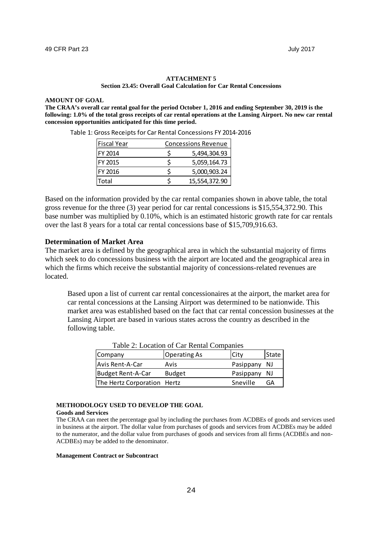#### **ATTACHMENT 5 Section 23.45: Overall Goal Calculation for Car Rental Concessions**

#### **AMOUNT OF GOAL**

**The CRAA's overall car rental goal for the period October 1, 2016 and ending September 30, 2019 is the following: 1.0% of the total gross receipts of car rental operations at the Lansing Airport. No new car rental concession opportunities anticipated for this time period.**

| <b>Fiscal Year</b> | <b>Concessions Revenue</b> |  |  |
|--------------------|----------------------------|--|--|
| IFY 2014           | 5,494,304.93               |  |  |
| IFY 2015           | 5,059,164.73               |  |  |
| IFY 2016           | 5,000,903.24               |  |  |
| Total              | 15,554,372.90              |  |  |

Table 1: Gross Receipts for Car Rental Concessions FY 2014-2016

Based on the information provided by the car rental companies shown in above table, the total gross revenue for the three (3) year period for car rental concessions is \$15,554,372.90. This base number was multiplied by 0.10%, which is an estimated historic growth rate for car rentals over the last 8 years for a total car rental concessions base of \$15,709,916.63.

## **Determination of Market Area**

The market area is defined by the geographical area in which the substantial majority of firms which seek to do concessions business with the airport are located and the geographical area in which the firms which receive the substantial majority of concessions-related revenues are located.

Based upon a list of current car rental concessionaires at the airport, the market area for car rental concessions at the Lansing Airport was determined to be nationwide. This market area was established based on the fact that car rental concession businesses at the Lansing Airport are based in various states across the country as described in the following table.

| Company                     | <b>Operating As</b> | City      | State |
|-----------------------------|---------------------|-----------|-------|
| Avis Rent-A-Car             | Avis                | Pasippany | -NJ   |
| Budget Rent-A-Car           | <b>Budget</b>       | Pasippany | NJ    |
| The Hertz Corporation Hertz |                     | Sneville  | GА    |

Table 2: Location of Car Rental Companies

## **METHODOLOGY USED TO DEVELOP THE GOAL**

#### **Goods and Services**

The CRAA can meet the percentage goal by including the purchases from ACDBEs of goods and services used in business at the airport. The dollar value from purchases of goods and services from ACDBEs may be added to the numerator, and the dollar value from purchases of goods and services from all firms (ACDBEs and non-ACDBEs) may be added to the denominator.

#### **Management Contract or Subcontract**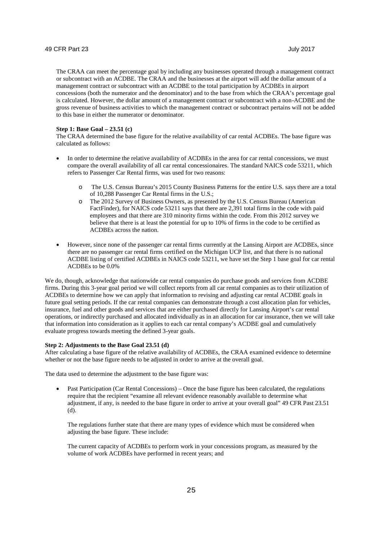The CRAA can meet the percentage goal by including any businesses operated through a management contract or subcontract with an ACDBE. The CRAA and the businesses at the airport will add the dollar amount of a management contract or subcontract with an ACDBE to the total participation by ACDBEs in airport concessions (both the numerator and the denominator) and to the base from which the CRAA's percentage goal is calculated. However, the dollar amount of a management contract or subcontract with a non-ACDBE and the gross revenue of business activities to which the management contract or subcontract pertains will not be added to this base in either the numerator or denominator.

#### **Step 1: Base Goal – 23.51 (c)**

The CRAA determined the base figure for the relative availability of car rental ACDBEs. The base figure was calculated as follows:

- In order to determine the relative availability of ACDBEs in the area for car rental concessions, we must compare the overall availability of all car rental concessionaires. The standard NAICS code 53211, which refers to Passenger Car Rental firms, was used for two reasons:
	- The U.S. Census Bureau's 2015 County Business Patterns for the entire U.S. says there are a total of 10,288 Passenger Car Rental firms in the U.S.;
	- o The 2012 Survey of Business Owners, as presented by the U.S. Census Bureau (American FactFinder), for NAICS code 53211 says that there are 2,391 total firms in the code with paid employees and that there are 310 minority firms within the code. From this 2012 survey we believe that there is at least the potential for up to 10% of firms in the code to be certified as ACDBEs across the nation.
- However, since none of the passenger car rental firms currently at the Lansing Airport are ACDBEs, since there are no passenger car rental firms certified on the Michigan UCP list, and that there is no national ACDBE listing of certified ACDBEs in NAICS code 53211, we have set the Step 1 base goal for car rental ACDBEs to be 0.0%

We do, though, acknowledge that nationwide car rental companies do purchase goods and services from ACDBE firms. During this 3-year goal period we will collect reports from all car rental companies as to their utilization of ACDBEs to determine how we can apply that information to revising and adjusting car rental ACDBE goals in future goal setting periods. If the car rental companies can demonstrate through a cost allocation plan for vehicles, insurance, fuel and other goods and services that are either purchased directly for Lansing Airport's car rental operations, or indirectly purchased and allocated individually as in an allocation for car insurance, then we will take that information into consideration as it applies to each car rental company's ACDBE goal and cumulatively evaluate progress towards meeting the defined 3-year goals.

#### **Step 2: Adjustments to the Base Goal 23.51 (d)**

After calculating a base figure of the relative availability of ACDBEs, the CRAA examined evidence to determine whether or not the base figure needs to be adjusted in order to arrive at the overall goal.

The data used to determine the adjustment to the base figure was:

• Past Participation (Car Rental Concessions) – Once the base figure has been calculated, the regulations require that the recipient "examine all relevant evidence reasonably available to determine what adjustment, if any, is needed to the base figure in order to arrive at your overall goal" 49 CFR Past 23.51 (d).

The regulations further state that there are many types of evidence which must be considered when adjusting the base figure. These include:

The current capacity of ACDBEs to perform work in your concessions program, as measured by the volume of work ACDBEs have performed in recent years; and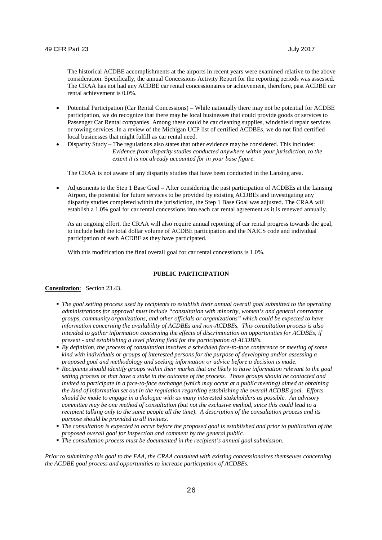The historical ACDBE accomplishments at the airports in recent years were examined relative to the above consideration. Specifically, the annual Concessions Activity Report for the reporting periods was assessed. The CRAA has not had any ACDBE car rental concessionaires or achievement, therefore, past ACDBE car rental achievement is 0.0%.

- Potential Participation (Car Rental Concessions) While nationally there may not be potential for ACDBE participation, we do recognize that there may be local businesses that could provide goods or services to Passenger Car Rental companies. Among these could be car cleaning supplies, windshield repair services or towing services. In a review of the Michigan UCP list of certified ACDBEs, we do not find certified local businesses that might fulfill as car rental need.
- Disparity Study The regulations also states that other evidence may be considered. This includes: *Evidence from disparity studies conducted anywhere within your jurisdiction, to the extent it is not already accounted for in your base figure.*

The CRAA is not aware of any disparity studies that have been conducted in the Lansing area.

 Adjustments to the Step 1 Base Goal – After considering the past participation of ACDBEs at the Lansing Airport, the potential for future services to be provided by existing ACDBEs and investigating any disparity studies completed within the jurisdiction, the Step 1 Base Goal was adjusted. The CRAA will establish a 1.0% goal for car rental concessions into each car rental agreement as it is renewed annually.

As an ongoing effort, the CRAA will also require annual reporting of car rental progress towards the goal, to include both the total dollar volume of ACDBE participation and the NAICS code and individual participation of each ACDBE as they have participated.

With this modification the final overall goal for car rental concessions is  $1.0\%$ .

### **PUBLIC PARTICIPATION**

#### **Consultation**: Section 23.43.

- *The goal setting process used by recipients to establish their annual overall goal submitted to the operating administrations for approval must include "consultation with minority, women's and general contractor groups, community organizations, and other officials or organizations" which could be expected to have information concerning the availability of ACDBEs and non-ACDBEs. This consultation process is also intended to gather information concerning the effects of discrimination on opportunities for ACDBEs, if present - and establishing a level playing field for the participation of ACDBEs.*
- *By definition, the process of consultation involves a scheduled face-to-face conference or meeting of some kind with individuals or groups of interested persons for the purpose of developing and/or assessing a proposed goal and methodology and seeking information or advice before a decision is made.*
- *Recipients should identify groups within their market that are likely to have information relevant to the goal setting process or that have a stake in the outcome of the process. Those groups should be contacted and invited to participate in a face-to-face exchange (which may occur at a public meeting) aimed at obtaining the kind of information set out in the regulation regarding establishing the overall ACDBE goal. Efforts should be made to engage in a dialogue with as many interested stakeholders as possible. An advisory committee may be one method of consultation (but not the exclusive method, since this could lead to a recipient talking only to the same people all the time). A description of the consultation process and its purpose should be provided to all invitees.*
- *The consultation is expected to occur before the proposed goal is established and prior to publication of the proposed overall goal for inspection and comment by the general public.*
- *The consultation process must be documented in the recipient's annual goal submission.*

*Prior to submitting this goal to the FAA, the CRAA consulted with existing concessionaires themselves concerning the ACDBE goal process and opportunities to increase participation of ACDBEs.*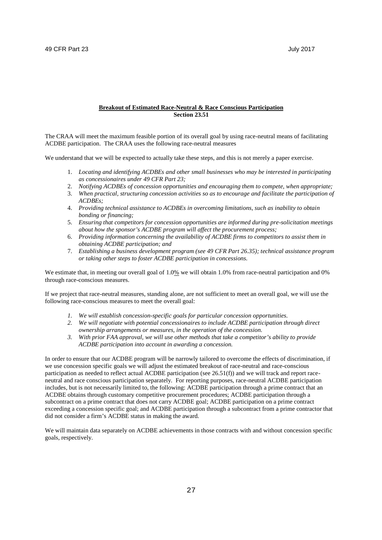#### **Breakout of Estimated Race-Neutral & Race Conscious Participation Section 23.51**

The CRAA will meet the maximum feasible portion of its overall goal by using race-neutral means of facilitating ACDBE participation. The CRAA uses the following race-neutral measures

We understand that we will be expected to actually take these steps, and this is not merely a paper exercise.

- 1. *Locating and identifying ACDBEs and other small businesses who may be interested in participating as concessionaires under 49 CFR Part 23;*
- 2. *Notifying ACDBEs of concession opportunities and encouraging them to compete, when appropriate;*
- 3. *When practical, structuring concession activities so as to encourage and facilitate the participation of ACDBEs;*
- 4. *Providing technical assistance to ACDBEs in overcoming limitations, such as inability to obtain bonding or financing;*
- 5. *Ensuring that competitors for concession opportunities are informed during pre-solicitation meetings about how the sponsor's ACDBE program will affect the procurement process;*
- 6. *Providing information concerning the availability of ACDBE firms to competitors to assist them in obtaining ACDBE participation; and*
- 7. *Establishing a business development program (see 49 CFR Part 26.35); technical assistance program or taking other steps to foster ACDBE participation in concessions.*

We estimate that, in meeting our overall goal of 1.0% we will obtain 1.0% from race-neutral participation and 0% through race-conscious measures.

If we project that race-neutral measures, standing alone, are not sufficient to meet an overall goal, we will use the following race-conscious measures to meet the overall goal:

- *1. We will establish concession-specific goals for particular concession opportunities.*
- *2. We will negotiate with potential concessionaires to include ACDBE participation through direct ownership arrangements or measures, in the operation of the concession.*
- *3. With prior FAA approval, we will use other methods that take a competitor's ability to provide ACDBE participation into account in awarding a concession.*

In order to ensure that our ACDBE program will be narrowly tailored to overcome the effects of discrimination, if we use concession specific goals we will adjust the estimated breakout of race-neutral and race-conscious participation as needed to reflect actual ACDBE participation (see 26.51(f)) and we will track and report raceneutral and race conscious participation separately. For reporting purposes, race-neutral ACDBE participation includes, but is not necessarily limited to, the following: ACDBE participation through a prime contract that an ACDBE obtains through customary competitive procurement procedures; ACDBE participation through a subcontract on a prime contract that does not carry ACDBE goal; ACDBE participation on a prime contract exceeding a concession specific goal; and ACDBE participation through a subcontract from a prime contractor that did not consider a firm's ACDBE status in making the award.

We will maintain data separately on ACDBE achievements in those contracts with and without concession specific goals, respectively.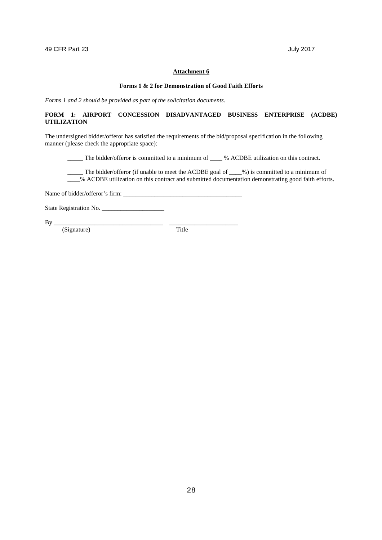#### **Forms 1 & 2 for Demonstration of Good Faith Efforts**

*Forms 1 and 2 should be provided as part of the solicitation documents*.

## **FORM 1: AIRPORT CONCESSION DISADVANTAGED BUSINESS ENTERPRISE (ACDBE) UTILIZATION**

The undersigned bidder/offeror has satisfied the requirements of the bid/proposal specification in the following manner (please check the appropriate space):

\_\_\_\_\_ The bidder/offeror is committed to a minimum of \_\_\_\_ % ACDBE utilization on this contract.

\_\_\_\_\_ The bidder/offeror (if unable to meet the ACDBE goal of \_\_\_\_%) is committed to a minimum of  $\frac{1}{2}$ % ACDBE utilization on this contract and submitted documentation demonstrating good faith efforts.

Name of bidder/offeror's firm:

State Registration No.

By \_\_\_\_\_\_\_\_\_\_\_\_\_\_\_\_\_\_\_\_\_\_\_\_\_\_\_\_\_\_\_\_\_\_\_ \_\_\_\_\_\_\_\_\_\_\_\_\_\_\_\_\_\_\_\_\_\_

(Signature) Title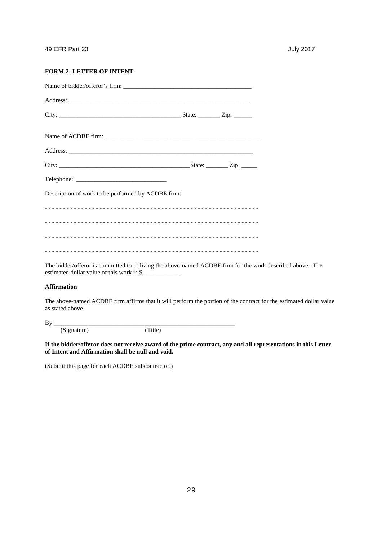## **FORM 2: LETTER OF INTENT**

| Description of work to be performed by ACDBE firm: |  |
|----------------------------------------------------|--|
|                                                    |  |
|                                                    |  |
|                                                    |  |
|                                                    |  |

The bidder/offeror is committed to utilizing the above-named ACDBE firm for the work described above. The estimated dollar value of this work is  $\frac{8}{100}$ .

#### **Affirmation**

The above-named ACDBE firm affirms that it will perform the portion of the contract for the estimated dollar value as stated above.

By \_\_\_\_\_\_\_\_\_\_\_\_\_\_\_\_\_\_\_\_\_\_\_\_\_\_\_\_\_\_\_\_\_\_\_\_\_\_\_\_\_\_\_\_\_\_\_\_\_\_\_\_\_\_\_\_\_\_

(Signature) (Title)

**If the bidder/offeror does not receive award of the prime contract, any and all representations in this Letter of Intent and Affirmation shall be null and void.**

(Submit this page for each ACDBE subcontractor.)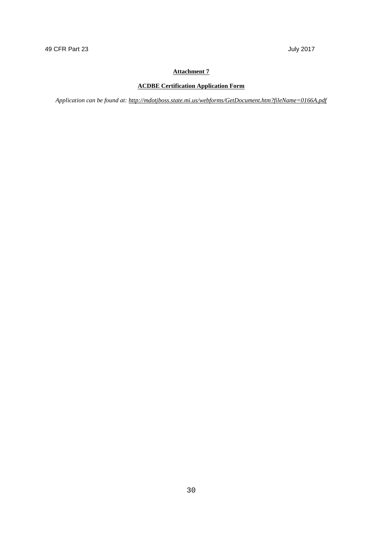## **ACDBE Certification Application Form**

*Application can be found at: http://mdotjboss.state.mi.us/webforms/GetDocument.htm?fileName=0166A.pdf*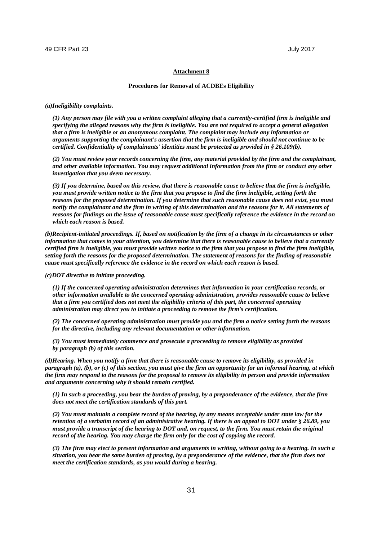#### **Procedures for Removal of ACDBEs Eligibility**

*(a)Ineligibility complaints.*

*(1) Any person may file with you a written complaint alleging that a currently-certified firm is ineligible and specifying the alleged reasons why the firm is ineligible. You are not required to accept a general allegation that a firm is ineligible or an anonymous complaint. The complaint may include any information or arguments supporting the complainant's assertion that the firm is ineligible and should not continue to be certified. Confidentiality of complainants' identities must be protected as provided in § 26.109(b).*

*(2) You must review your records concerning the firm, any material provided by the firm and the complainant, and other available information. You may request additional information from the firm or conduct any other investigation that you deem necessary.*

*(3) If you determine, based on this review, that there is reasonable cause to believe that the firm is ineligible, you must provide written notice to the firm that you propose to find the firm ineligible, setting forth the reasons for the proposed determination. If you determine that such reasonable cause does not exist, you must notify the complainant and the firm in writing of this determination and the reasons for it. All statements of reasons for findings on the issue of reasonable cause must specifically reference the evidence in the record on which each reason is based.*

*(b)Recipient-initiated proceedings. If, based on notification by the firm of a change in its circumstances or other information that comes to your attention, you determine that there is reasonable cause to believe that a currently certified firm is ineligible, you must provide written notice to the firm that you propose to find the firm ineligible, setting forth the reasons for the proposed determination. The statement of reasons for the finding of reasonable cause must specifically reference the evidence in the record on which each reason is based.*

*(c)DOT directive to initiate proceeding.*

*(1) If the concerned operating administration determines that information in your certification records, or other information available to the concerned operating administration, provides reasonable cause to believe that a firm you certified does not meet the eligibility criteria of this part, the concerned operating administration may direct you to initiate a proceeding to remove the firm's certification.*

*(2) The concerned operating administration must provide you and the firm a notice setting forth the reasons for the directive, including any relevant documentation or other information.*

*(3) You must immediately commence and prosecute a proceeding to remove eligibility as provided by paragraph (b) of this section.*

*(d)Hearing. When you notify a firm that there is reasonable cause to remove its eligibility, as provided in paragraph (a), (b), or (c) of this section, you must give the firm an opportunity for an informal hearing, at which the firm may respond to the reasons for the proposal to remove its eligibility in person and provide information and arguments concerning why it should remain certified.*

*(1) In such a proceeding, you bear the burden of proving, by a preponderance of the evidence, that the firm does not meet the certification standards of this part.*

*(2) You must maintain a complete record of the hearing, by any means acceptable under state law for the retention of a verbatim record of an administrative hearing. If there is an appeal to DOT under § 26.89, you must provide a transcript of the hearing to DOT and, on request, to the firm. You must retain the original record of the hearing. You may charge the firm only for the cost of copying the record.*

*(3) The firm may elect to present information and arguments in writing, without going to a hearing. In such a situation, you bear the same burden of proving, by a preponderance of the evidence, that the firm does not meet the certification standards, as you would during a hearing.*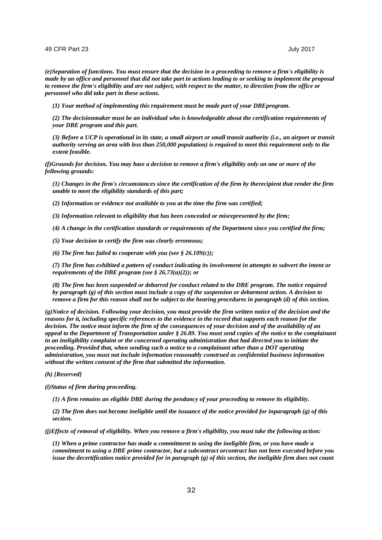*(e)Separation of functions. You must ensure that the decision in a proceeding to remove a firm's eligibility is made by an office and personnel that did not take part in actions leading to or seeking to implement the proposal to remove the firm's eligibility and are not subject, with respect to the matter, to direction from the office or personnel who did take part in these actions.*

*(1) Your method of implementing this requirement must be made part of your DBEprogram.*

*(2) The decisionmaker must be an individual who is knowledgeable about the certification requirements of your DBE program and this part.*

*(3) Before a UCP is operational in its state, a small airport or small transit authority (i.e., an airport or transit authority serving an area with less than 250,000 population) is required to meet this requirement only to the extent feasible.*

*(f)Grounds for decision. You may base a decision to remove a firm's eligibility only on one or more of the following grounds:*

*(1) Changes in the firm's circumstances since the certification of the firm by therecipient that render the firm unable to meet the eligibility standards of this part;*

*(2) Information or evidence not available to you at the time the firm was certified;*

*(3) Information relevant to eligibility that has been concealed or misrepresented by the firm;*

*(4) A change in the certification standards or requirements of the Department since you certified the firm;*

*(5) Your decision to certify the firm was clearly erroneous;*

*(6) The firm has failed to cooperate with you (see § 26.109(c));*

*(7) The firm has exhibited a pattern of conduct indicating its involvement in attempts to subvert the intent or requirements of the DBE program (see § 26.73(a)(2)); or*

*(8) The firm has been suspended or debarred for conduct related to the DBE program. The notice required by paragraph (g) of this section must include a copy of the suspension or debarment action. A decision to remove a firm for this reason shall not be subject to the hearing procedures in paragraph (d) of this section.* 

*(g)Notice of decision. Following your decision, you must provide the firm written notice of the decision and the reasons for it, including specific references to the evidence in the record that supports each reason for the decision. The notice must inform the firm of the consequences of your decision and of the availability of an appeal to the Department of Transportation under § 26.89. You must send copies of the notice to the complainant in an ineligibility complaint or the concerned operating administration that had directed you to initiate the proceeding. Provided that, when sending such a notice to a complainant other than a DOT operating administration, you must not include information reasonably construed as confidential business information without the written consent of the firm that submitted the information.*

*(h) [Reserved]*

*(i)Status of firm during proceeding.*

*(1) A firm remains an eligible DBE during the pendancy of your proceeding to remove its eligibility.*

*(2) The firm does not become ineligible until the issuance of the notice provided for inparagraph (g) of this section.*

*(j)Effects of removal of eligibility. When you remove a firm's eligibility, you must take the following action:*

*(1) When a prime contractor has made a commitment to using the ineligible firm, or you have made a commitment to using a DBE prime contractor, but a subcontract orcontract has not been executed before you issue the decertification notice provided for in paragraph (g) of this section, the ineligible firm does not count*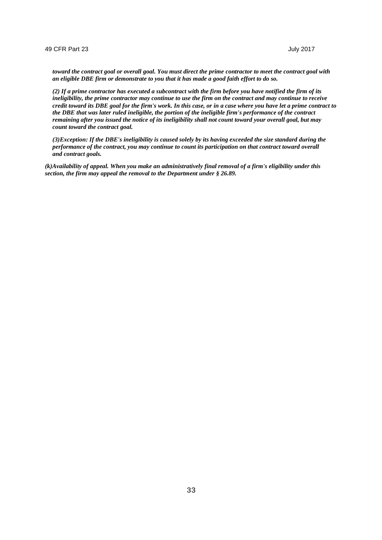*toward the contract goal or overall goal. You must direct the prime contractor to meet the contract goal with an eligible DBE firm or demonstrate to you that it has made a good faith effort to do so.*

*(2) If a prime contractor has executed a subcontract with the firm before you have notified the firm of its ineligibility, the prime contractor may continue to use the firm on the contract and may continue to receive credit toward its DBE goal for the firm's work. In this case, or in a case where you have let a prime contract to the DBE that was later ruled ineligible, the portion of the ineligible firm's performance of the contract remaining after you issued the notice of its ineligibility shall not count toward your overall goal, but may count toward the contract goal.*

*(3)Exception: If the DBE's ineligibility is caused solely by its having exceeded the size standard during the performance of the contract, you may continue to count its participation on that contract toward overall and contract goals.*

*(k)Availability of appeal. When you make an administratively final removal of a firm's eligibility under this section, the firm may appeal the removal to the Department under § 26.89.*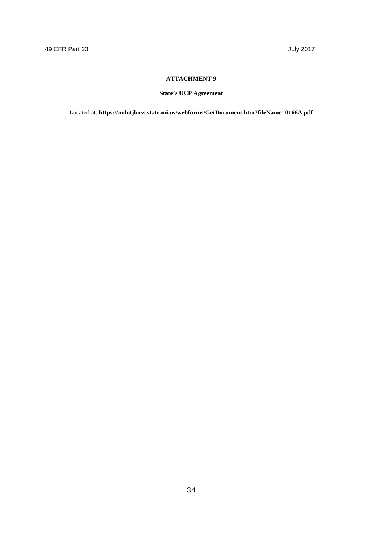## **ATTACHMENT 9**

## **State's UCP Agreement**

Located at: **https://mdotjboss.state.mi.us/webforms/GetDocument.htm?fileName=0166A.pdf**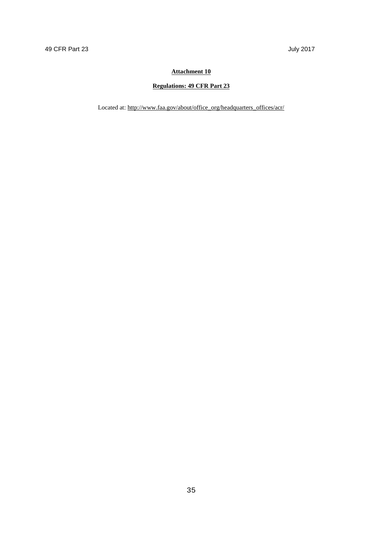## **Regulations: 49 CFR Part 23**

Located at: http://www.faa.gov/about/office\_org/headquarters\_offices/acr/